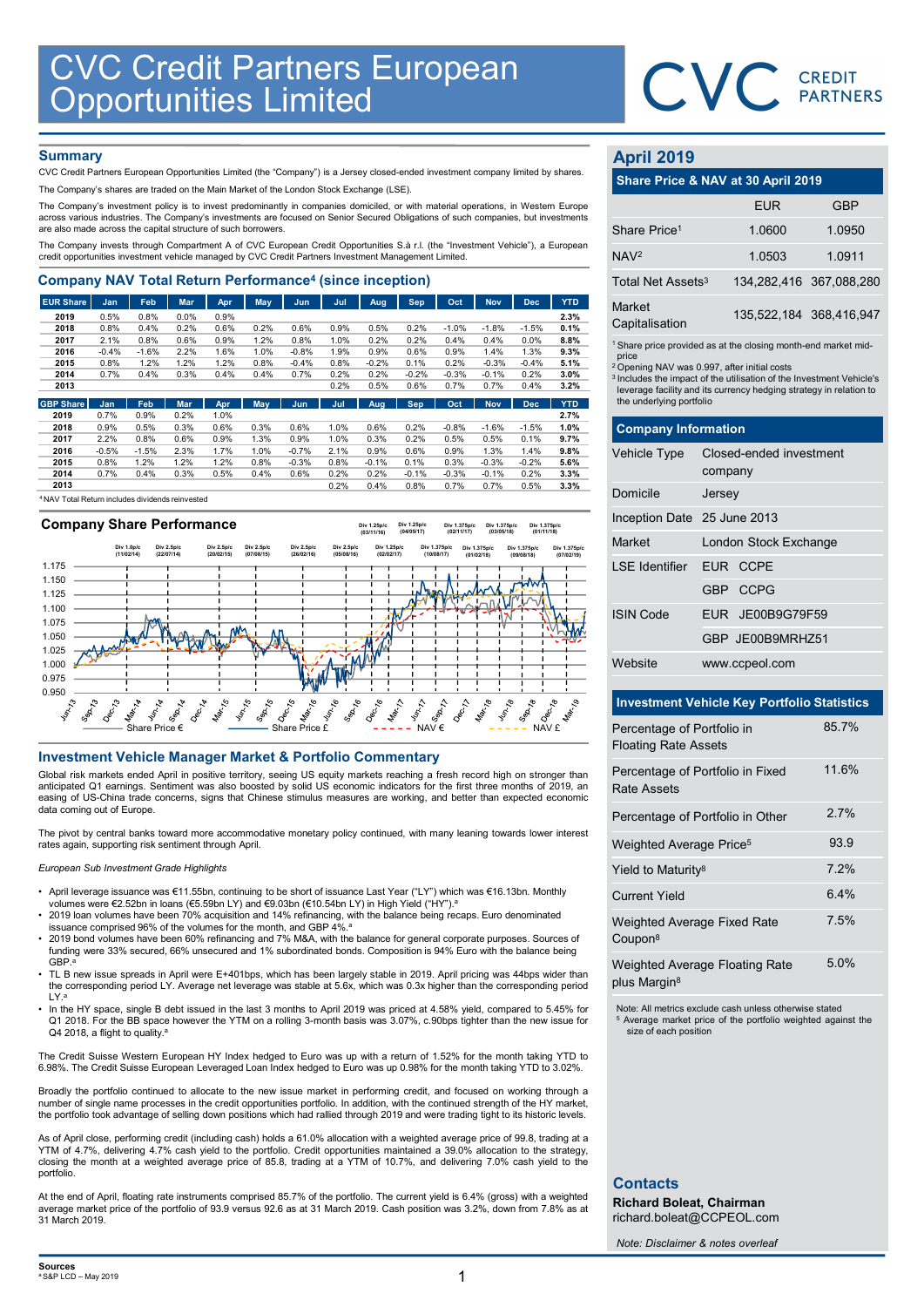

## **Summary**

| <b>CVC Credit Partners European<br/>Opportunities Limited</b>                                                                                                                                      |                 |                 |              |              |              |                    |              |                 |              |              |                 |                 |                    |                                                         | CVC CREDIT                                                                                                                                         |            |
|----------------------------------------------------------------------------------------------------------------------------------------------------------------------------------------------------|-----------------|-----------------|--------------|--------------|--------------|--------------------|--------------|-----------------|--------------|--------------|-----------------|-----------------|--------------------|---------------------------------------------------------|----------------------------------------------------------------------------------------------------------------------------------------------------|------------|
|                                                                                                                                                                                                    |                 |                 |              |              |              |                    |              |                 |              |              |                 |                 |                    |                                                         |                                                                                                                                                    |            |
|                                                                                                                                                                                                    |                 |                 |              |              |              |                    |              |                 |              |              |                 |                 |                    |                                                         |                                                                                                                                                    |            |
|                                                                                                                                                                                                    |                 |                 |              |              |              |                    |              |                 |              |              |                 |                 |                    |                                                         |                                                                                                                                                    |            |
|                                                                                                                                                                                                    |                 |                 |              |              |              |                    |              |                 |              |              |                 |                 |                    |                                                         |                                                                                                                                                    |            |
| <b>Summary</b>                                                                                                                                                                                     |                 |                 |              |              |              |                    |              |                 |              |              |                 |                 |                    | <b>April 2019</b>                                       |                                                                                                                                                    |            |
| CVC Credit Partners European Opportunities Limited (the "Company") is a Jersey closed-ended investment company limited by shares.                                                                  |                 |                 |              |              |              |                    |              |                 |              |              |                 |                 |                    |                                                         | Share Price & NAV at 30 April 2019                                                                                                                 |            |
| The Company's shares are traded on the Main Market of the London Stock Exchange (LSE).                                                                                                             |                 |                 |              |              |              |                    |              |                 |              |              |                 |                 |                    |                                                         |                                                                                                                                                    |            |
| The Company's investment policy is to invest predominantly in companies domiciled, or with material operations, in Western Europe                                                                  |                 |                 |              |              |              |                    |              |                 |              |              |                 |                 |                    |                                                         | <b>EUR</b>                                                                                                                                         | <b>GBP</b> |
| across various industries. The Company's investments are focused on Senior Secured Obligations of such companies, but investments<br>are also made across the capital structure of such borrowers. |                 |                 |              |              |              |                    |              |                 |              |              |                 |                 |                    | Share Price <sup>1</sup>                                | 1.0600                                                                                                                                             | 1.0950     |
| The Company invests through Compartment A of CVC European Credit Opportunities S.à r.l. (the "Investment Vehicle"), a European                                                                     |                 |                 |              |              |              |                    |              |                 |              |              |                 |                 |                    |                                                         |                                                                                                                                                    |            |
| credit opportunities investment vehicle managed by CVC Credit Partners Investment Management Limited.                                                                                              |                 |                 |              |              |              |                    |              |                 |              |              |                 |                 |                    | NAV <sup>2</sup>                                        | 1.0503                                                                                                                                             | 1.0911     |
| <b>Company NAV Total Return Performance<sup>4</sup> (since inception)</b>                                                                                                                          |                 |                 |              |              |              |                    |              |                 |              |              |                 |                 |                    | Total Net Assets <sup>3</sup>                           | 134,282,416 367,088,28                                                                                                                             |            |
|                                                                                                                                                                                                    |                 |                 |              |              |              |                    |              |                 |              |              |                 |                 |                    |                                                         |                                                                                                                                                    |            |
| <b>EUR Share</b><br>2019                                                                                                                                                                           | Jan<br>0.5%     | Feb<br>0.8%     | Mar<br>0.0%  | Apr<br>0.9%  | May          | Jun                | Jul          | Aug             | Sep          | Oct          | <b>Nov</b>      | <b>Dec</b>      | <b>YTD</b><br>2.3% | Market                                                  | 135,522,184 368,416,94                                                                                                                             |            |
| 2018                                                                                                                                                                                               | 0.8%            | 0.4%            | 0.2%         | 0.6%         | 0.2%         | 0.6%               | 0.9%         | 0.5%            | 0.2%         | $-1.0%$      | $-1.8%$         | $-1.5%$         | 0.1%               | Capitalisation                                          |                                                                                                                                                    |            |
| 2017                                                                                                                                                                                               | 2.1%            | 0.8%            | 0.6%         | 0.9%         | 1.2%         | 0.8%               | 1.0%         | 0.2%            | 0.2%         | 0.4%         | 0.4%            | 0.0%            | 8.8%               |                                                         | <sup>1</sup> Share price provided as at the closing month-end market mid                                                                           |            |
| 2016<br>2015                                                                                                                                                                                       | $-0.4%$<br>0.8% | $-1.6%$<br>1.2% | 2.2%<br>1.2% | 1.6%<br>1.2% | 1.0%<br>0.8% | $-0.8%$<br>$-0.4%$ | 1.9%<br>0.8% | 0.9%<br>$-0.2%$ | 0.6%<br>0.1% | 0.9%<br>0.2% | 1.4%<br>$-0.3%$ | 1.3%<br>$-0.4%$ | 9.3%<br>5.1%       | price                                                   |                                                                                                                                                    |            |
| 2014                                                                                                                                                                                               | 0.7%            | 0.4%            | 0.3%         | 0.4%         | 0.4%         | 0.7%               | 0.2%         | 0.2%            | $-0.2%$      | $-0.3%$      | $-0.1%$         | 0.2%            | 3.0%               | <sup>2</sup> Opening NAV was 0.997, after initial costs |                                                                                                                                                    |            |
| 2013                                                                                                                                                                                               |                 |                 |              |              |              |                    | 0.2%         | 0.5%            | 0.6%         | 0.7%         | 0.7%            | 0.4%            | 3.2%               |                                                         | <sup>3</sup> Includes the impact of the utilisation of the Investment Vehicle<br>leverage facility and its currency hedging strategy in relation t |            |
| <b>GBP Share</b>                                                                                                                                                                                   | Jan             | Feb             | Mar          | Apr          | May          | Jun                | Jul          | Aug             | <b>Sep</b>   | Oct          | <b>Nov</b>      | <b>Dec</b>      | <b>YTD</b>         | the underlying portfolio                                |                                                                                                                                                    |            |
| 2019                                                                                                                                                                                               | 0.7%            | 0.9%            | 0.2%         | 1.0%         |              |                    |              |                 |              |              |                 |                 | 2.7%               |                                                         |                                                                                                                                                    |            |
| 2018                                                                                                                                                                                               | 0.9%            | 0.5%            | 0.3%         | 0.6%         | 0.3%         | 0.6%               | 1.0%         | 0.6%            | 0.2%         | $-0.8%$      | $-1.6%$         | $-1.5%$         | 1.0%               | <b>Company Information</b>                              |                                                                                                                                                    |            |
| 2017                                                                                                                                                                                               | 2.2%            | 0.8%            | 0.6%         | 0.9%         | 1.3%         | 0.9%               | 1.0%         | 0.3%            | 0.2%         | 0.5%         | 0.5%            | 0.1%            | 9.7%               |                                                         |                                                                                                                                                    |            |
| 2016<br>2015                                                                                                                                                                                       | $-0.5%$<br>0.8% | $-1.5%$<br>1.2% | 2.3%<br>1.2% | 1.7%<br>1.2% | 1.0%<br>0.8% | $-0.7%$<br>$-0.3%$ | 2.1%<br>0.8% | 0.9%<br>$-0.1%$ | 0.6%<br>0.1% | 0.9%<br>0.3% | 1.3%<br>$-0.3%$ | 1.4%<br>$-0.2%$ | 9.8%<br>5.6%       | <b>Vehicle Type</b>                                     | Closed-ended investment                                                                                                                            |            |
| 2014                                                                                                                                                                                               | 0.7%            | 0.4%            | 0.3%         | 0.5%         | 0.4%         | 0.6%               | 0.2%         | 0.2%            | $-0.1%$      | $-0.3%$      | $-0.1%$         | 0.2%            | 3.3%               |                                                         | company                                                                                                                                            |            |
| 2013                                                                                                                                                                                               |                 |                 |              |              |              |                    | 0.2%         | 0.4%            | 0.8%         | 0.7%         | 0.7%            | 0.5%            | 3.3%               | <b>Dominilo</b>                                         | lancov                                                                                                                                             |            |
|                                                                                                                                                                                                    |                 |                 |              |              |              |                    |              |                 |              |              |                 |                 |                    |                                                         |                                                                                                                                                    |            |

<sup>4</sup>NAV Total Return includes dividends reinvested



- April leverage issuance was €11.55bn, continuing to be short of issuance Last Year ("LY") which was €16.13bn. Monthly volumes were €2.52bn in loans (€5.59bn LY) and €9.03bn (€10.54bn LY) in High Yield ("HY").ª<br>• 2019 l
- 
- 2019 bond volumes have been 60% refinancing and 7% M&A, with the balance for general corporate purposes. Sources of funding were 33% secured, 66% unsecured and 1% subordinated bonds. Composition is 94% Euro with the balanc
- 
- 

# April 2019

|                               | CVC CREDIT                                                                                                                                                                                                       |                         |
|-------------------------------|------------------------------------------------------------------------------------------------------------------------------------------------------------------------------------------------------------------|-------------------------|
|                               |                                                                                                                                                                                                                  |                         |
| <b>April 2019</b>             |                                                                                                                                                                                                                  |                         |
|                               | Share Price & NAV at 30 April 2019                                                                                                                                                                               |                         |
|                               | <b>EUR</b>                                                                                                                                                                                                       | <b>GBP</b>              |
| Share Price <sup>1</sup>      | 1.0600                                                                                                                                                                                                           | 1.0950                  |
| NAV <sup>2</sup>              | 1.0503                                                                                                                                                                                                           | 1.0911                  |
| Total Net Assets <sup>3</sup> |                                                                                                                                                                                                                  | 134,282,416 367,088,280 |
| Market<br>Capitalisation      |                                                                                                                                                                                                                  | 135,522,184 368,416,947 |
| price                         | <sup>1</sup> Share price provided as at the closing month-end market mid-                                                                                                                                        |                         |
| the underlying portfolio      | <sup>2</sup> Opening NAV was 0.997, after initial costs<br><sup>3</sup> Includes the impact of the utilisation of the Investment Vehicle's<br>leverage facility and its currency hedging strategy in relation to |                         |
| <b>Company Information</b>    |                                                                                                                                                                                                                  |                         |
| Vehicle Type                  | Closed-ended investment<br>company                                                                                                                                                                               |                         |
| Domicile                      | Jersey                                                                                                                                                                                                           |                         |
| Inception Date 25 June 2013   |                                                                                                                                                                                                                  |                         |
| Market                        | London Stock Exchange                                                                                                                                                                                            |                         |

|                                                    |                                                                                                                                                                                                                                                                                               | <b>PARTNERS</b>         |
|----------------------------------------------------|-----------------------------------------------------------------------------------------------------------------------------------------------------------------------------------------------------------------------------------------------------------------------------------------------|-------------------------|
| <b>April 2019</b>                                  |                                                                                                                                                                                                                                                                                               |                         |
|                                                    | Share Price & NAV at 30 April 2019                                                                                                                                                                                                                                                            |                         |
|                                                    | <b>EUR</b>                                                                                                                                                                                                                                                                                    | <b>GBP</b>              |
| Share Price <sup>1</sup>                           | 1.0600                                                                                                                                                                                                                                                                                        | 1.0950                  |
| NAV <sup>2</sup>                                   | 1.0503                                                                                                                                                                                                                                                                                        | 1.0911                  |
| Total Net Assets <sup>3</sup>                      |                                                                                                                                                                                                                                                                                               | 134,282,416 367,088,280 |
| Market<br>Capitalisation                           |                                                                                                                                                                                                                                                                                               | 135,522,184 368,416,947 |
| price<br>the underlying portfolio                  | <sup>1</sup> Share price provided as at the closing month-end market mid-<br><sup>2</sup> Opening NAV was 0.997, after initial costs<br><sup>3</sup> Includes the impact of the utilisation of the Investment Vehicle's<br>leverage facility and its currency hedging strategy in relation to |                         |
| <b>Company Information</b>                         |                                                                                                                                                                                                                                                                                               |                         |
| Vehicle Type                                       | Closed-ended investment<br>company                                                                                                                                                                                                                                                            |                         |
| Domicile                                           | Jersey                                                                                                                                                                                                                                                                                        |                         |
| Inception Date 25 June 2013                        |                                                                                                                                                                                                                                                                                               |                         |
| Market                                             | London Stock Exchange                                                                                                                                                                                                                                                                         |                         |
| <b>LSE</b> Identifier                              | EUR CCPE                                                                                                                                                                                                                                                                                      |                         |
|                                                    | <b>CCPG</b><br>GBP                                                                                                                                                                                                                                                                            |                         |
| <b>ISIN Code</b>                                   | JE00B9G79F59<br><b>EUR</b>                                                                                                                                                                                                                                                                    |                         |
|                                                    | GBP JE00B9MRHZ51                                                                                                                                                                                                                                                                              |                         |
| Website                                            | www.ccpeol.com                                                                                                                                                                                                                                                                                |                         |
| <b>Investment Vehicle Key Portfolio Statistics</b> |                                                                                                                                                                                                                                                                                               |                         |

# Investment Vehicle Key Portfolio Statistics

|                                                                                                                                                                                                                                                                                                                                                                                                                                               | GBP JE00B9MRHZ51                                                                                                                                           |       |
|-----------------------------------------------------------------------------------------------------------------------------------------------------------------------------------------------------------------------------------------------------------------------------------------------------------------------------------------------------------------------------------------------------------------------------------------------|------------------------------------------------------------------------------------------------------------------------------------------------------------|-------|
| 1.025<br>1.000<br>0.975                                                                                                                                                                                                                                                                                                                                                                                                                       | Website<br>www.ccpeol.com                                                                                                                                  |       |
| 0.950<br><b>IV-VV</b><br>$\mathcal{S}_{\mathcal{F}}$<br><b>Tar. 16</b><br>in 16<br>$\lambda$                                                                                                                                                                                                                                                                                                                                                  | <b>Investment Vehicle Key Portfolio Statistics</b>                                                                                                         |       |
| NAV £                                                                                                                                                                                                                                                                                                                                                                                                                                         | Percentage of Portfolio in                                                                                                                                 | 85.7% |
| <b>Investment Vehicle Manager Market &amp; Portfolio Commentary</b>                                                                                                                                                                                                                                                                                                                                                                           | <b>Floating Rate Assets</b>                                                                                                                                |       |
| Global risk markets ended April in positive territory, seeing US equity markets reaching a fresh record high on stronger than<br>anticipated Q1 earnings. Sentiment was also boosted by solid US economic indicators for the first three months of 2019, an<br>easing of US-China trade concerns, signs that Chinese stimulus measures are working, and better than expected economic                                                         | Percentage of Portfolio in Fixed<br><b>Rate Assets</b>                                                                                                     | 11.6% |
| data coming out of Europe.                                                                                                                                                                                                                                                                                                                                                                                                                    | Percentage of Portfolio in Other                                                                                                                           | 2.7%  |
| The pivot by central banks toward more accommodative monetary policy continued, with many leaning towards lower interest<br>rates again, supporting risk sentiment through April.                                                                                                                                                                                                                                                             | Weighted Average Price <sup>5</sup>                                                                                                                        | 93.9  |
| European Sub Investment Grade Highlights                                                                                                                                                                                                                                                                                                                                                                                                      | Yield to Maturity <sup>8</sup>                                                                                                                             | 7.2%  |
| April leverage issuance was €11.55bn, continuing to be short of issuance Last Year ("LY") which was €16.13bn. Monthly<br>volumes were €2.52bn in loans (€5.59bn LY) and €9.03bn (€10.54bn LY) in High Yield ("HY"). <sup>a</sup>                                                                                                                                                                                                              | <b>Current Yield</b>                                                                                                                                       | 6.4%  |
| 2019 loan volumes have been 70% acquisition and 14% refinancing, with the balance being recaps. Euro denominated<br>issuance comprised 96% of the volumes for the month, and GBP 4%. <sup>a</sup><br>2019 bond volumes have been 60% refinancing and 7% M&A, with the balance for general corporate purposes. Sources of<br>funding were 33% secured, 66% unsecured and 1% subordinated bonds. Composition is 94% Euro with the balance being | Weighted Average Fixed Rate<br>Coupon <sup>8</sup>                                                                                                         | 7.5%  |
| GBP.ª<br>TL B new issue spreads in April were E+401bps, which has been largely stable in 2019. April pricing was 44bps wider than<br>the corresponding period LY. Average net leverage was stable at 5.6x, which was 0.3x higher than the corresponding period                                                                                                                                                                                | Weighted Average Floating Rate<br>plus Margin <sup>8</sup>                                                                                                 | 5.0%  |
| LY.ª<br>In the HY space, single B debt issued in the last 3 months to April 2019 was priced at 4.58% yield, compared to 5.45% for<br>Q1 2018. For the BB space however the YTM on a rolling 3-month basis was 3.07%, c.90bps tighter than the new issue for<br>Q4 2018, a flight to quality. <sup>a</sup>                                                                                                                                     | Note: All metrics exclude cash unless otherwise stated<br><sup>5</sup> Average market price of the portfolio weighted against the<br>size of each position |       |
| The Credit Suisse Western European HY Index hedged to Euro was up with a return of 1.52% for the month taking YTD to<br>6.98%. The Credit Suisse European Leveraged Loan Index hedged to Euro was up 0.98% for the month taking YTD to 3.02%.                                                                                                                                                                                                 |                                                                                                                                                            |       |
| Broadly the portfolio continued to allocate to the new issue market in performing credit, and focused on working through a<br>number of single name processes in the credit opportunities portfolio. In addition, with the continued strength of the HY market,<br>the portfolio took advantage of selling down positions which had rallied through 2019 and were trading tight to its historic levels.                                       |                                                                                                                                                            |       |
| As of April close, performing credit (including cash) holds a 61.0% allocation with a weighted average price of 99.8, trading at a<br>YTM of 4.7%, delivering 4.7% cash yield to the portfolio. Credit opportunities maintained a 39.0% allocation to the strategy,<br>closing the month at a weighted average price of 85.8, trading at a YTM of 10.7%, and delivering 7.0% cash yield to the                                                |                                                                                                                                                            |       |
| portfolio.                                                                                                                                                                                                                                                                                                                                                                                                                                    | <b>Contacts</b>                                                                                                                                            |       |
| At the end of April, floating rate instruments comprised 85.7% of the portfolio. The current yield is 6.4% (gross) with a weighted<br>average market price of the portfolio of 93.9 versus 92.6 as at 31 March 2019. Cash position was 3.2%, down from 7.8% as at                                                                                                                                                                             | <b>Richard Boleat, Chairman</b><br>richard.boleat@CCPEOL.com                                                                                               |       |
| 31 March 2019.                                                                                                                                                                                                                                                                                                                                                                                                                                |                                                                                                                                                            |       |

# **Contacts**